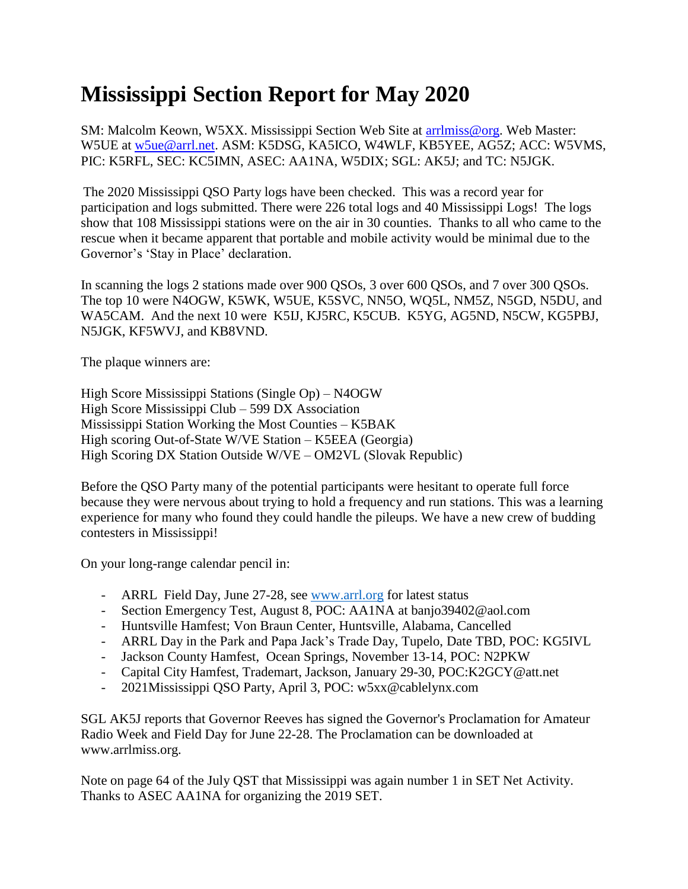## **Mississippi Section Report for May 2020**

SM: Malcolm Keown, W5XX. Mississippi Section Web Site at [arrlmiss@org.](mailto:arrlmiss@org) Web Master: W5UE at [w5ue@arrl.net.](mailto:w5ue@arrl.net) ASM: K5DSG, KA5ICO, W4WLF, KB5YEE, AG5Z; ACC: W5VMS, PIC: K5RFL, SEC: KC5IMN, ASEC: AA1NA, W5DIX; SGL: AK5J; and TC: N5JGK.

The 2020 Mississippi QSO Party logs have been checked. This was a record year for participation and logs submitted. There were 226 total logs and 40 Mississippi Logs! The logs show that 108 Mississippi stations were on the air in 30 counties. Thanks to all who came to the rescue when it became apparent that portable and mobile activity would be minimal due to the Governor's 'Stay in Place' declaration.

In scanning the logs 2 stations made over 900 QSOs, 3 over 600 QSOs, and 7 over 300 QSOs. The top 10 were N4OGW, K5WK, W5UE, K5SVC, NN5O, WQ5L, NM5Z, N5GD, N5DU, and WA5CAM. And the next 10 were K5IJ, KJ5RC, K5CUB. K5YG, AG5ND, N5CW, KG5PBJ, N5JGK, KF5WVJ, and KB8VND.

The plaque winners are:

High Score Mississippi Stations (Single Op) – N4OGW High Score Mississippi Club – 599 DX Association Mississippi Station Working the Most Counties – K5BAK High scoring Out-of-State W/VE Station – K5EEA (Georgia) High Scoring DX Station Outside W/VE – OM2VL (Slovak Republic)

Before the QSO Party many of the potential participants were hesitant to operate full force because they were nervous about trying to hold a frequency and run stations. This was a learning experience for many who found they could handle the pileups. We have a new crew of budding contesters in Mississippi!

On your long-range calendar pencil in:

- ARRL Field Day, June 27-28, see [www.arrl.org](http://www.arrl.org/) for latest status
- Section Emergency Test, August 8, POC: AA1NA at banjo39402@aol.com
- Huntsville Hamfest; Von Braun Center, Huntsville, Alabama, Cancelled
- ARRL Day in the Park and Papa Jack's Trade Day, Tupelo, Date TBD, POC: KG5IVL
- Jackson County Hamfest, Ocean Springs, November 13-14, POC: N2PKW
- Capital City Hamfest, Trademart, Jackson, January 29-30, POC:K2GCY@att.net
- 2021Mississippi QSO Party, April 3, POC: w5xx@cablelynx.com

SGL AK5J reports that Governor Reeves has signed the Governor's Proclamation for Amateur Radio Week and Field Day for June 22-28. The Proclamation can be downloaded at www.arrlmiss.org.

Note on page 64 of the July QST that Mississippi was again number 1 in SET Net Activity. Thanks to ASEC AA1NA for organizing the 2019 SET.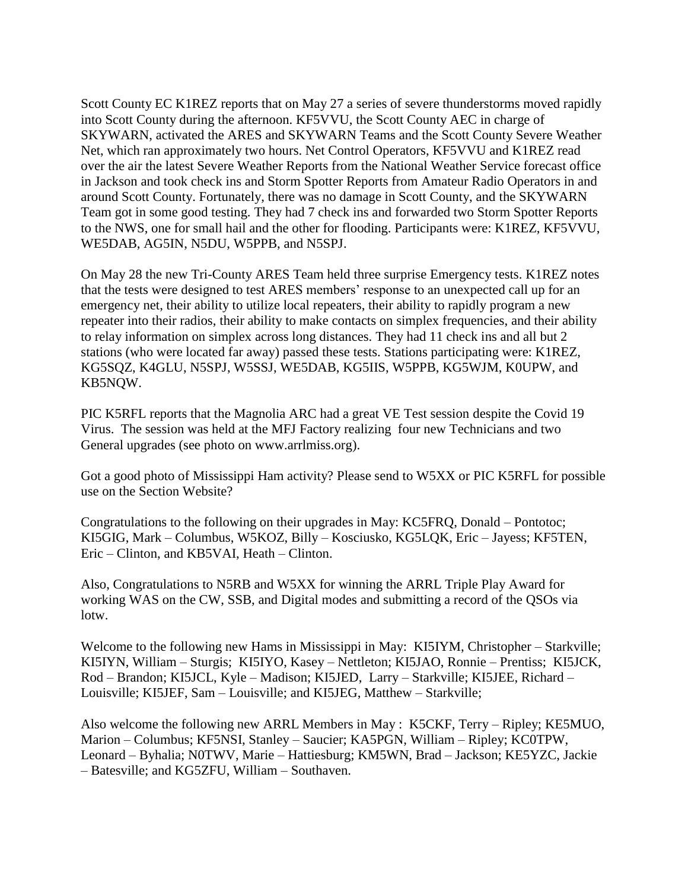Scott County EC K1REZ reports that on May 27 a series of severe thunderstorms moved rapidly into Scott County during the afternoon. KF5VVU, the Scott County AEC in charge of SKYWARN, activated the ARES and SKYWARN Teams and the Scott County Severe Weather Net, which ran approximately two hours. Net Control Operators, KF5VVU and K1REZ read over the air the latest Severe Weather Reports from the National Weather Service forecast office in Jackson and took check ins and Storm Spotter Reports from Amateur Radio Operators in and around Scott County. Fortunately, there was no damage in Scott County, and the SKYWARN Team got in some good testing. They had 7 check ins and forwarded two Storm Spotter Reports to the NWS, one for small hail and the other for flooding. Participants were: K1REZ, KF5VVU, WE5DAB, AG5IN, N5DU, W5PPB, and N5SPJ.

On May 28 the new Tri-County ARES Team held three surprise Emergency tests. K1REZ notes that the tests were designed to test ARES members' response to an unexpected call up for an emergency net, their ability to utilize local repeaters, their ability to rapidly program a new repeater into their radios, their ability to make contacts on simplex frequencies, and their ability to relay information on simplex across long distances. They had 11 check ins and all but 2 stations (who were located far away) passed these tests. Stations participating were: K1REZ, KG5SQZ, K4GLU, N5SPJ, W5SSJ, WE5DAB, KG5IIS, W5PPB, KG5WJM, K0UPW, and KB5NQW.

PIC K5RFL reports that the Magnolia ARC had a great VE Test session despite the Covid 19 Virus. The session was held at the MFJ Factory realizing four new Technicians and two General upgrades (see photo on www.arrlmiss.org).

Got a good photo of Mississippi Ham activity? Please send to W5XX or PIC K5RFL for possible use on the Section Website?

Congratulations to the following on their upgrades in May: KC5FRQ, Donald – Pontotoc; KI5GIG, Mark – Columbus, W5KOZ, Billy – Kosciusko, KG5LQK, Eric – Jayess; KF5TEN, Eric – Clinton, and KB5VAI, Heath – Clinton.

Also, Congratulations to N5RB and W5XX for winning the ARRL Triple Play Award for working WAS on the CW, SSB, and Digital modes and submitting a record of the QSOs via lotw.

Welcome to the following new Hams in Mississippi in May: KI5IYM, Christopher – Starkville; KI5IYN, William – Sturgis; KI5IYO, Kasey – Nettleton; KI5JAO, Ronnie – Prentiss; KI5JCK, Rod – Brandon; KI5JCL, Kyle – Madison; KI5JED, Larry – Starkville; KI5JEE, Richard – Louisville; KI5JEF, Sam – Louisville; and KI5JEG, Matthew – Starkville;

Also welcome the following new ARRL Members in May : K5CKF, Terry – Ripley; KE5MUO, Marion – Columbus; KF5NSI, Stanley – Saucier; KA5PGN, William – Ripley; KC0TPW, Leonard – Byhalia; N0TWV, Marie – Hattiesburg; KM5WN, Brad – Jackson; KE5YZC, Jackie – Batesville; and KG5ZFU, William – Southaven.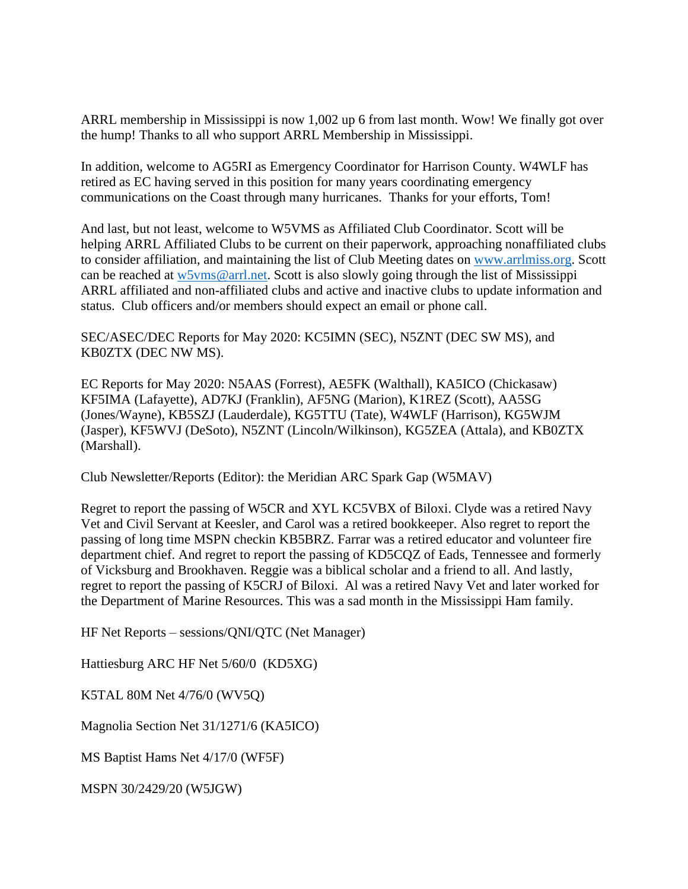ARRL membership in Mississippi is now 1,002 up 6 from last month. Wow! We finally got over the hump! Thanks to all who support ARRL Membership in Mississippi.

In addition, welcome to AG5RI as Emergency Coordinator for Harrison County. W4WLF has retired as EC having served in this position for many years coordinating emergency communications on the Coast through many hurricanes. Thanks for your efforts, Tom!

And last, but not least, welcome to W5VMS as Affiliated Club Coordinator. Scott will be helping ARRL Affiliated Clubs to be current on their paperwork, approaching nonaffiliated clubs to consider affiliation, and maintaining the list of Club Meeting dates on [www.arrlmiss.org.](http://www.arrlmiss.org/) Scott can be reached at [w5vms@arrl.net.](mailto:w5vms@arrl.net) Scott is also slowly going through the list of Mississippi ARRL affiliated and non-affiliated clubs and active and inactive clubs to update information and status. Club officers and/or members should expect an email or phone call.

SEC/ASEC/DEC Reports for May 2020: KC5IMN (SEC), N5ZNT (DEC SW MS), and KB0ZTX (DEC NW MS).

EC Reports for May 2020: N5AAS (Forrest), AE5FK (Walthall), KA5ICO (Chickasaw) KF5IMA (Lafayette), AD7KJ (Franklin), AF5NG (Marion), K1REZ (Scott), AA5SG (Jones/Wayne), KB5SZJ (Lauderdale), KG5TTU (Tate), W4WLF (Harrison), KG5WJM (Jasper), KF5WVJ (DeSoto), N5ZNT (Lincoln/Wilkinson), KG5ZEA (Attala), and KB0ZTX (Marshall).

Club Newsletter/Reports (Editor): the Meridian ARC Spark Gap (W5MAV)

Regret to report the passing of W5CR and XYL KC5VBX of Biloxi. Clyde was a retired Navy Vet and Civil Servant at Keesler, and Carol was a retired bookkeeper. Also regret to report the passing of long time MSPN checkin KB5BRZ. Farrar was a retired educator and volunteer fire department chief. And regret to report the passing of KD5CQZ of Eads, Tennessee and formerly of Vicksburg and Brookhaven. Reggie was a biblical scholar and a friend to all. And lastly, regret to report the passing of K5CRJ of Biloxi. Al was a retired Navy Vet and later worked for the Department of Marine Resources. This was a sad month in the Mississippi Ham family.

HF Net Reports – sessions/QNI/QTC (Net Manager)

Hattiesburg ARC HF Net 5/60/0 (KD5XG)

K5TAL 80M Net 4/76/0 (WV5Q)

Magnolia Section Net 31/1271/6 (KA5ICO)

MS Baptist Hams Net 4/17/0 (WF5F)

MSPN 30/2429/20 (W5JGW)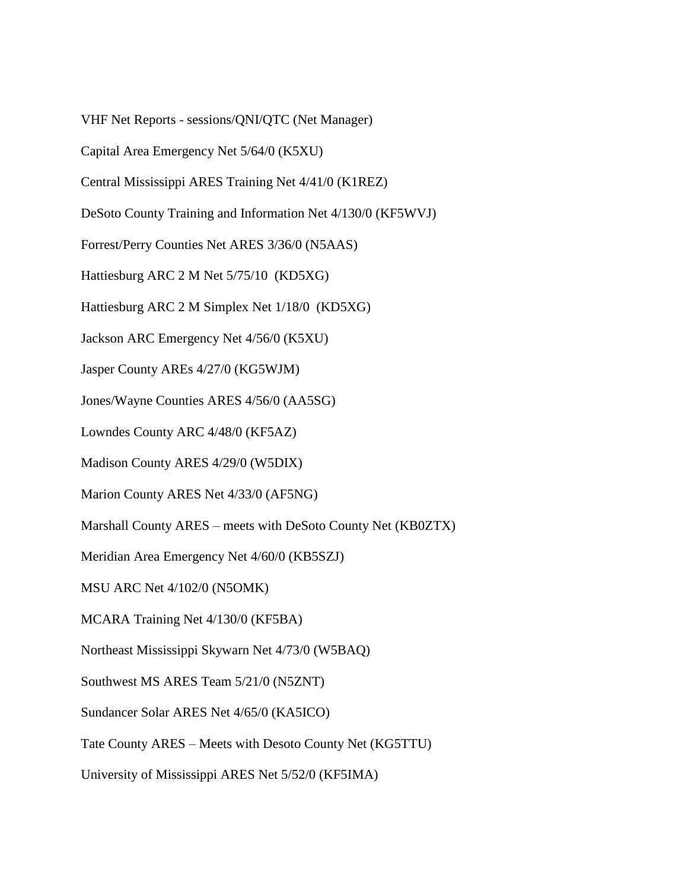VHF Net Reports - sessions/QNI/QTC (Net Manager)

Capital Area Emergency Net 5/64/0 (K5XU)

Central Mississippi ARES Training Net 4/41/0 (K1REZ)

DeSoto County Training and Information Net 4/130/0 (KF5WVJ)

Forrest/Perry Counties Net ARES 3/36/0 (N5AAS)

Hattiesburg ARC 2 M Net 5/75/10 (KD5XG)

Hattiesburg ARC 2 M Simplex Net 1/18/0 (KD5XG)

Jackson ARC Emergency Net 4/56/0 (K5XU)

Jasper County AREs 4/27/0 (KG5WJM)

Jones/Wayne Counties ARES 4/56/0 (AA5SG)

Lowndes County ARC 4/48/0 (KF5AZ)

Madison County ARES 4/29/0 (W5DIX)

Marion County ARES Net 4/33/0 (AF5NG)

Marshall County ARES – meets with DeSoto County Net (KB0ZTX)

Meridian Area Emergency Net 4/60/0 (KB5SZJ)

MSU ARC Net 4/102/0 (N5OMK)

MCARA Training Net 4/130/0 (KF5BA)

Northeast Mississippi Skywarn Net 4/73/0 (W5BAQ)

Southwest MS ARES Team 5/21/0 (N5ZNT)

Sundancer Solar ARES Net 4/65/0 (KA5ICO)

Tate County ARES – Meets with Desoto County Net (KG5TTU)

University of Mississippi ARES Net 5/52/0 (KF5IMA)